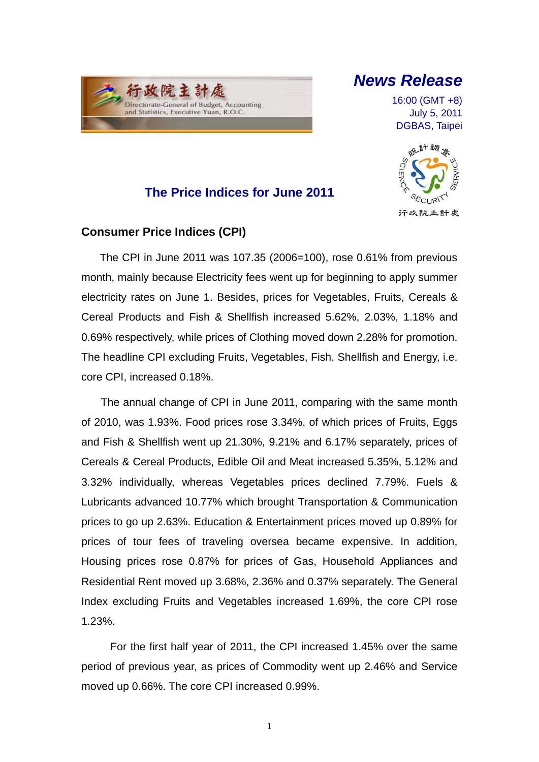

## *News Release*

16:00 (GMT +8) July 5, 2011 DGBAS, Taipei



### **The Price Indices for June 2011**

### **Consumer Price Indices (CPI)**

The CPI in June 2011 was 107.35 (2006=100), rose 0.61% from previous month, mainly because Electricity fees went up for beginning to apply summer electricity rates on June 1. Besides, prices for Vegetables, Fruits, Cereals & Cereal Products and Fish & Shellfish increased 5.62%, 2.03%, 1.18% and 0.69% respectively, while prices of Clothing moved down 2.28% for promotion. The headline CPI excluding Fruits, Vegetables, Fish, Shellfish and Energy, i.e. core CPI, increased 0.18%.

The annual change of CPI in June 2011, comparing with the same month of 2010, was 1.93%. Food prices rose 3.34%, of which prices of Fruits, Eggs and Fish & Shellfish went up 21.30%, 9.21% and 6.17% separately, prices of Cereals & Cereal Products, Edible Oil and Meat increased 5.35%, 5.12% and 3.32% individually, whereas Vegetables prices declined 7.79%. Fuels & Lubricants advanced 10.77% which brought Transportation & Communication prices to go up 2.63%. Education & Entertainment prices moved up 0.89% for prices of tour fees of traveling oversea became expensive. In addition, Housing prices rose 0.87% for prices of Gas, Household Appliances and Residential Rent moved up 3.68%, 2.36% and 0.37% separately. The General Index excluding Fruits and Vegetables increased 1.69%, the core CPI rose 1.23%.

For the first half year of 2011, the CPI increased 1.45% over the same period of previous year, as prices of Commodity went up 2.46% and Service moved up 0.66%. The core CPI increased 0.99%.

1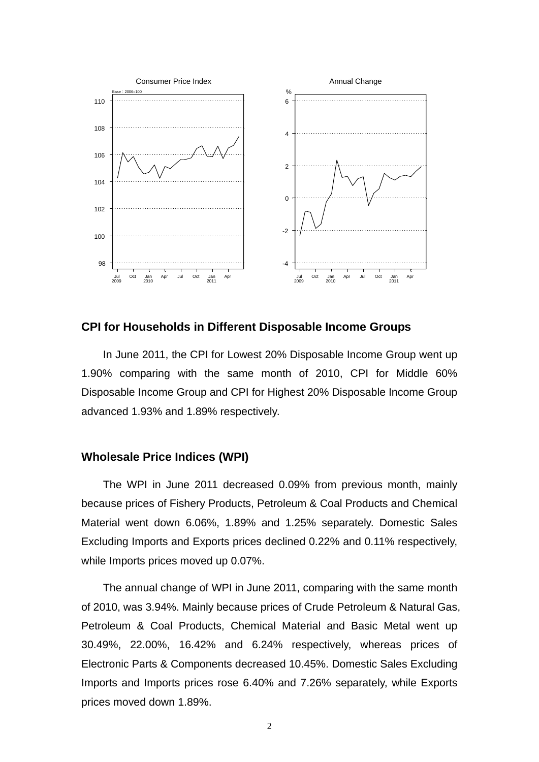

#### **CPI for Households in Different Disposable Income Groups**

In June 2011, the CPI for Lowest 20% Disposable Income Group went up 1.90% comparing with the same month of 2010, CPI for Middle 60% Disposable Income Group and CPI for Highest 20% Disposable Income Group advanced 1.93% and 1.89% respectively.

#### **Wholesale Price Indices (WPI)**

The WPI in June 2011 decreased 0.09% from previous month, mainly because prices of Fishery Products, Petroleum & Coal Products and Chemical Material went down 6.06%, 1.89% and 1.25% separately. Domestic Sales Excluding Imports and Exports prices declined 0.22% and 0.11% respectively, while Imports prices moved up 0.07%.

The annual change of WPI in June 2011, comparing with the same month of 2010, was 3.94%. Mainly because prices of Crude Petroleum & Natural Gas, Petroleum & Coal Products, Chemical Material and Basic Metal went up 30.49%, 22.00%, 16.42% and 6.24% respectively, whereas prices of Electronic Parts & Components decreased 10.45%. Domestic Sales Excluding Imports and Imports prices rose 6.40% and 7.26% separately, while Exports prices moved down 1.89%.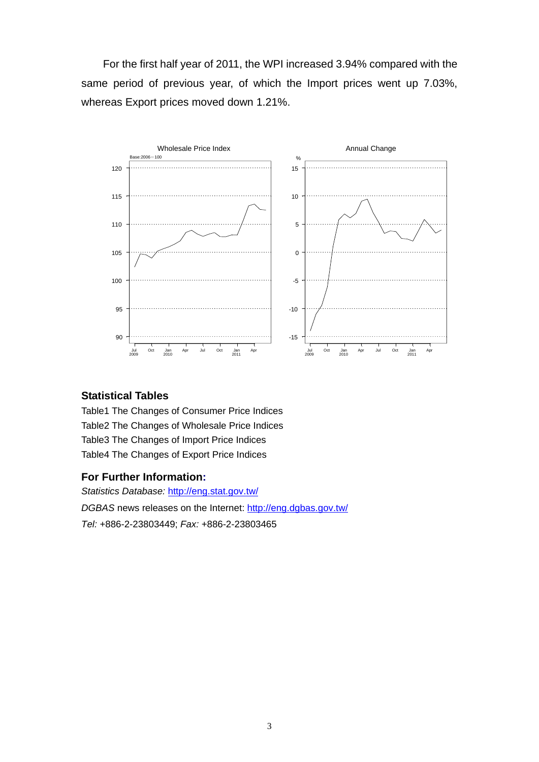For the first half year of 2011, the WPI increased 3.94% compared with the same period of previous year, of which the Import prices went up 7.03%, whereas Export prices moved down 1.21%.



### **Statistical Tables**

Table1 The Changes of Consumer Price Indices Table2 The Changes of Wholesale Price Indices Table3 The Changes of Import Price Indices Table4 The Changes of Export Price Indices

### **For Further Information:**

*Statistics Database:* http://eng.stat.gov.tw/ *DGBAS* news releases on the Internet: http://eng.dgbas.gov.tw/ *Tel:* +886-2-23803449; *Fax:* +886-2-23803465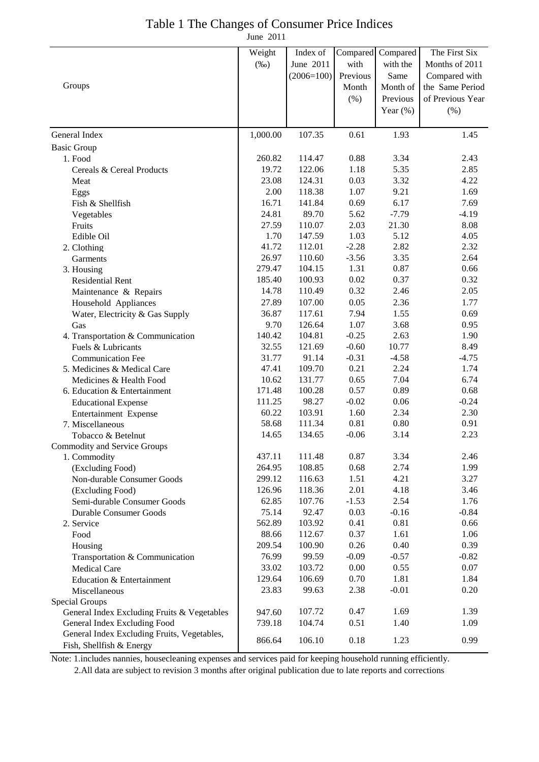## Table 1 The Changes of Consumer Price Indices

June 2011

|                                             | Weight   | Index of     | Compared | Compared    | The First Six    |
|---------------------------------------------|----------|--------------|----------|-------------|------------------|
|                                             | $(\%0)$  | June 2011    | with     | with the    | Months of 2011   |
|                                             |          | $(2006=100)$ | Previous | Same        | Compared with    |
| Groups                                      |          |              | Month    | Month of    | the Same Period  |
|                                             |          |              |          | Previous    | of Previous Year |
|                                             |          |              | $(\% )$  |             |                  |
|                                             |          |              |          | Year $(\%)$ | (% )             |
| General Index                               | 1,000.00 | 107.35       | 0.61     | 1.93        | 1.45             |
| <b>Basic Group</b>                          |          |              |          |             |                  |
| 1. Food                                     | 260.82   | 114.47       | 0.88     | 3.34        | 2.43             |
| Cereals & Cereal Products                   | 19.72    | 122.06       | 1.18     | 5.35        | 2.85             |
| Meat                                        | 23.08    | 124.31       | 0.03     | 3.32        | 4.22             |
| Eggs                                        | 2.00     | 118.38       | 1.07     | 9.21        | 1.69             |
| Fish & Shellfish                            | 16.71    | 141.84       | 0.69     | 6.17        | 7.69             |
| Vegetables                                  | 24.81    | 89.70        | 5.62     | $-7.79$     | $-4.19$          |
| Fruits                                      | 27.59    | 110.07       | 2.03     | 21.30       | 8.08             |
| Edible Oil                                  | 1.70     | 147.59       | 1.03     | 5.12        | 4.05             |
| 2. Clothing                                 | 41.72    | 112.01       | $-2.28$  | 2.82        | 2.32             |
| Garments                                    | 26.97    | 110.60       | $-3.56$  | 3.35        | 2.64             |
| 3. Housing                                  | 279.47   | 104.15       | 1.31     | 0.87        | 0.66             |
| <b>Residential Rent</b>                     | 185.40   | 100.93       | 0.02     | 0.37        | 0.32             |
| Maintenance & Repairs                       | 14.78    | 110.49       | 0.32     | 2.46        | 2.05             |
| Household Appliances                        | 27.89    | 107.00       | 0.05     | 2.36        | 1.77             |
| Water, Electricity & Gas Supply             | 36.87    | 117.61       | 7.94     | 1.55        | 0.69             |
| Gas                                         | 9.70     | 126.64       | 1.07     | 3.68        | 0.95             |
| 4. Transportation & Communication           | 140.42   | 104.81       | $-0.25$  | 2.63        | 1.90             |
| Fuels & Lubricants                          | 32.55    | 121.69       | $-0.60$  | 10.77       | 8.49             |
| <b>Communication Fee</b>                    | 31.77    | 91.14        | $-0.31$  | $-4.58$     | $-4.75$          |
| 5. Medicines & Medical Care                 | 47.41    | 109.70       | 0.21     | 2.24        | 1.74             |
| Medicines & Health Food                     | 10.62    | 131.77       | 0.65     | 7.04        | 6.74             |
| 6. Education & Entertainment                | 171.48   | 100.28       | 0.57     | 0.89        | 0.68             |
| <b>Educational Expense</b>                  | 111.25   | 98.27        | $-0.02$  | 0.06        | $-0.24$          |
| Entertainment Expense                       | 60.22    | 103.91       | 1.60     | 2.34        | 2.30             |
| 7. Miscellaneous                            | 58.68    | 111.34       | 0.81     | $0.80\,$    | 0.91             |
| Tobacco & Betelnut                          | 14.65    | 134.65       | $-0.06$  | 3.14        | 2.23             |
| Commodity and Service Groups                |          |              |          |             |                  |
| 1. Commodity                                | 437.11   | 111.48       | 0.87     | 3.34        | 2.46             |
| (Excluding Food)                            | 264.95   | 108.85       | 0.68     | 2.74        | 1.99             |
| Non-durable Consumer Goods                  | 299.12   | 116.63       | 1.51     | 4.21        | 3.27             |
| (Excluding Food)                            | 126.96   | 118.36       | 2.01     | 4.18        | 3.46             |
| Semi-durable Consumer Goods                 | 62.85    | 107.76       | $-1.53$  | 2.54        | 1.76             |
| <b>Durable Consumer Goods</b>               | 75.14    | 92.47        | 0.03     | $-0.16$     | $-0.84$          |
| 2. Service                                  | 562.89   | 103.92       | 0.41     | 0.81        | 0.66             |
| Food                                        | 88.66    | 112.67       | 0.37     | 1.61        | 1.06             |
| Housing                                     | 209.54   | 100.90       | 0.26     | 0.40        | 0.39             |
| Transportation & Communication              | 76.99    | 99.59        | $-0.09$  | $-0.57$     | $-0.82$          |
| <b>Medical Care</b>                         | 33.02    | 103.72       | 0.00     | 0.55        | 0.07             |
| Education & Entertainment                   | 129.64   | 106.69       | 0.70     | 1.81        | 1.84             |
| Miscellaneous                               | 23.83    | 99.63        | 2.38     | $-0.01$     | 0.20             |
| Special Groups                              |          |              |          |             |                  |
| General Index Excluding Fruits & Vegetables | 947.60   | 107.72       | 0.47     | 1.69        | 1.39             |
| General Index Excluding Food                | 739.18   | 104.74       | 0.51     | 1.40        | 1.09             |
| General Index Excluding Fruits, Vegetables, | 866.64   | 106.10       | 0.18     | 1.23        | 0.99             |
| Fish, Shellfish & Energy                    |          |              |          |             |                  |

Note: 1.includes nannies, housecleaning expenses and services paid for keeping household running efficiently.

2.All data are subject to revision 3 months after original publication due to late reports and corrections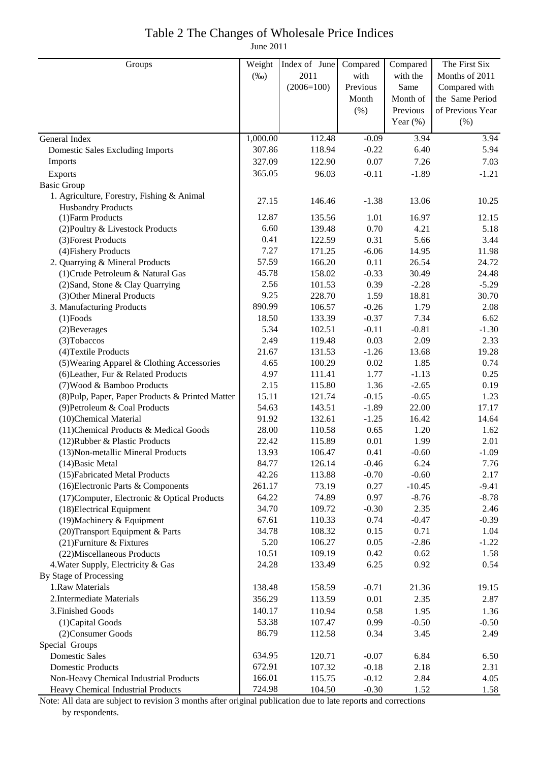## Table 2 The Changes of Wholesale Price Indices

June 2011

| Groups                                           | Weight   | Index of June | Compared | Compared    | The First Six    |
|--------------------------------------------------|----------|---------------|----------|-------------|------------------|
|                                                  | $(\%0)$  | 2011          | with     | with the    | Months of 2011   |
|                                                  |          | $(2006=100)$  | Previous | Same        | Compared with    |
|                                                  |          |               | Month    | Month of    | the Same Period  |
|                                                  |          |               | (% )     | Previous    | of Previous Year |
|                                                  |          |               |          | Year $(\%)$ | (% )             |
| General Index                                    | 1,000.00 | 112.48        | $-0.09$  | 3.94        | 3.94             |
| <b>Domestic Sales Excluding Imports</b>          | 307.86   | 118.94        | $-0.22$  | 6.40        | 5.94             |
| Imports                                          | 327.09   | 122.90        | 0.07     | 7.26        | 7.03             |
| Exports                                          | 365.05   | 96.03         | $-0.11$  | $-1.89$     | $-1.21$          |
| <b>Basic Group</b>                               |          |               |          |             |                  |
| 1. Agriculture, Forestry, Fishing & Animal       |          |               |          |             |                  |
| <b>Husbandry Products</b>                        | 27.15    | 146.46        | $-1.38$  | 13.06       | 10.25            |
| (1) Farm Products                                | 12.87    | 135.56        | 1.01     | 16.97       | 12.15            |
| (2) Poultry & Livestock Products                 | 6.60     | 139.48        | 0.70     | 4.21        | 5.18             |
| (3) Forest Products                              | 0.41     | 122.59        | 0.31     | 5.66        | 3.44             |
| (4) Fishery Products                             | 7.27     | 171.25        | $-6.06$  | 14.95       | 11.98            |
| 2. Quarrying & Mineral Products                  | 57.59    | 166.20        | 0.11     | 26.54       | 24.72            |
| (1) Crude Petroleum & Natural Gas                | 45.78    | 158.02        | $-0.33$  | 30.49       | 24.48            |
| (2) Sand, Stone & Clay Quarrying                 | 2.56     | 101.53        | 0.39     | $-2.28$     | $-5.29$          |
| (3) Other Mineral Products                       | 9.25     | 228.70        | 1.59     | 18.81       | 30.70            |
| 3. Manufacturing Products                        | 890.99   | 106.57        | $-0.26$  | 1.79        | 2.08             |
| $(1)$ Foods                                      | 18.50    | 133.39        | $-0.37$  | 7.34        | 6.62             |
| (2) Beverages                                    | 5.34     | 102.51        | $-0.11$  | $-0.81$     | $-1.30$          |
| (3) Tobaccos                                     | 2.49     | 119.48        | 0.03     | 2.09        | 2.33             |
| (4) Textile Products                             | 21.67    | 131.53        | $-1.26$  | 13.68       | 19.28            |
| (5) Wearing Apparel & Clothing Accessories       | 4.65     | 100.29        | 0.02     | 1.85        | 0.74             |
| (6) Leather, Fur & Related Products              | 4.97     | 111.41        | 1.77     | $-1.13$     | 0.25             |
| (7) Wood & Bamboo Products                       | 2.15     | 115.80        | 1.36     | $-2.65$     | 0.19             |
| (8) Pulp, Paper, Paper Products & Printed Matter | 15.11    | 121.74        | $-0.15$  | $-0.65$     | 1.23             |
| (9) Petroleum & Coal Products                    | 54.63    | 143.51        | $-1.89$  | 22.00       | 17.17            |
| (10)Chemical Material                            | 91.92    | 132.61        | $-1.25$  | 16.42       | 14.64            |
| (11) Chemical Products & Medical Goods           | 28.00    | 110.58        | 0.65     | 1.20        | 1.62             |
| (12) Rubber & Plastic Products                   | 22.42    | 115.89        | 0.01     | 1.99        | 2.01             |
| (13) Non-metallic Mineral Products               | 13.93    | 106.47        | 0.41     | $-0.60$     | $-1.09$          |
| $(14)$ Basic Metal                               | 84.77    | 126.14        | $-0.46$  | 6.24        | 7.76             |
| (15) Fabricated Metal Products                   | 42.26    | 113.88        | $-0.70$  | $-0.60$     | 2.17             |
| (16) Electronic Parts & Components               | 261.17   | 73.19         | 0.27     | $-10.45$    | $-9.41$          |
| (17) Computer, Electronic & Optical Products     | 64.22    | 74.89         | 0.97     | $-8.76$     | $-8.78$          |
| (18) Electrical Equipment                        | 34.70    | 109.72        | $-0.30$  | 2.35        | 2.46             |
| $(19)$ Machinery & Equipment                     | 67.61    | 110.33        | 0.74     | $-0.47$     | $-0.39$          |
| (20) Transport Equipment & Parts                 | 34.78    | 108.32        | 0.15     | 0.71        | 1.04             |
| (21) Furniture & Fixtures                        | 5.20     | 106.27        | 0.05     | $-2.86$     | $-1.22$          |
| (22) Miscellaneous Products                      | 10.51    | 109.19        | 0.42     | 0.62        | 1.58             |
| 4. Water Supply, Electricity & Gas               | 24.28    | 133.49        | 6.25     | 0.92        | 0.54             |
| By Stage of Processing                           |          |               |          |             |                  |
| 1.Raw Materials                                  | 138.48   | 158.59        | $-0.71$  | 21.36       | 19.15            |
| 2. Intermediate Materials                        | 356.29   | 113.59        | 0.01     | 2.35        | 2.87             |
| 3. Finished Goods                                | 140.17   | 110.94        | 0.58     | 1.95        | 1.36             |
| (1) Capital Goods                                | 53.38    | 107.47        | 0.99     | $-0.50$     | $-0.50$          |
| (2) Consumer Goods                               | 86.79    | 112.58        | 0.34     | 3.45        | 2.49             |
| Special Groups                                   |          |               |          |             |                  |
| <b>Domestic Sales</b>                            | 634.95   | 120.71        | $-0.07$  | 6.84        | 6.50             |
| <b>Domestic Products</b>                         | 672.91   | 107.32        | $-0.18$  | 2.18        | 2.31             |
| Non-Heavy Chemical Industrial Products           | 166.01   | 115.75        | $-0.12$  | 2.84        | 4.05             |
| Heavy Chemical Industrial Products               | 724.98   | 104.50        | $-0.30$  | 1.52        | 1.58             |

Note: All data are subject to revision 3 months after original publication due to late reports and corrections by respondents.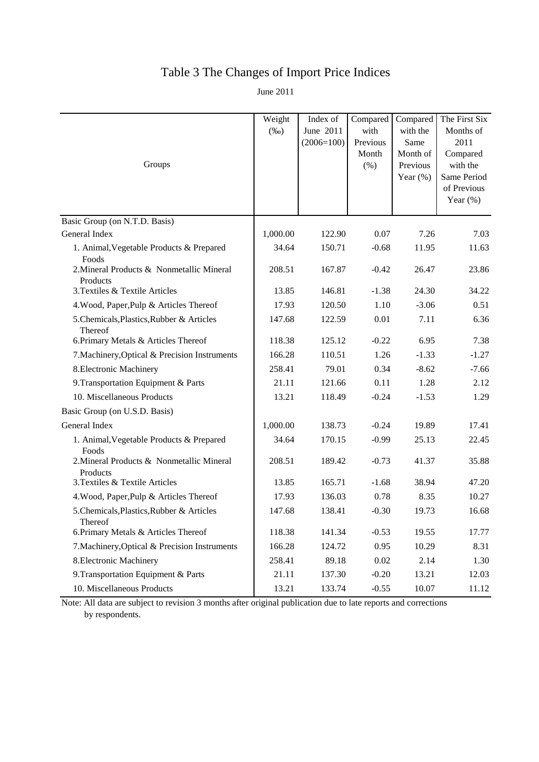# Table 3 The Changes of Import Price Indices

June 2011

| Groups                                                         | Weight<br>$(\%0)$ | Index of<br>June 2011<br>$(2006=100)$ | Compared<br>with<br>Previous<br>Month<br>(% ) | Compared<br>with the<br>Same<br>Month of<br>Previous<br>Year $(\%)$ | The First Six<br>Months of<br>2011<br>Compared<br>with the<br>Same Period<br>of Previous<br>Year $(\%)$ |
|----------------------------------------------------------------|-------------------|---------------------------------------|-----------------------------------------------|---------------------------------------------------------------------|---------------------------------------------------------------------------------------------------------|
| Basic Group (on N.T.D. Basis)                                  |                   |                                       |                                               |                                                                     |                                                                                                         |
| General Index                                                  | 1,000.00          | 122.90                                | 0.07                                          | 7.26                                                                | 7.03                                                                                                    |
| 1. Animal, Vegetable Products & Prepared                       | 34.64             | 150.71                                | $-0.68$                                       | 11.95                                                               | 11.63                                                                                                   |
| Foods<br>2. Mineral Products & Nonmetallic Mineral<br>Products | 208.51            | 167.87                                | $-0.42$                                       | 26.47                                                               | 23.86                                                                                                   |
| 3. Textiles & Textile Articles                                 | 13.85             | 146.81                                | $-1.38$                                       | 24.30                                                               | 34.22                                                                                                   |
| 4. Wood, Paper, Pulp & Articles Thereof                        | 17.93             | 120.50                                | 1.10                                          | $-3.06$                                                             | 0.51                                                                                                    |
| 5.Chemicals, Plastics, Rubber & Articles<br>Thereof            | 147.68            | 122.59                                | 0.01                                          | 7.11                                                                | 6.36                                                                                                    |
| 6. Primary Metals & Articles Thereof                           | 118.38            | 125.12                                | $-0.22$                                       | 6.95                                                                | 7.38                                                                                                    |
| 7. Machinery, Optical & Precision Instruments                  | 166.28            | 110.51                                | 1.26                                          | $-1.33$                                                             | $-1.27$                                                                                                 |
| 8. Electronic Machinery                                        | 258.41            | 79.01                                 | 0.34                                          | $-8.62$                                                             | $-7.66$                                                                                                 |
| 9. Transportation Equipment & Parts                            | 21.11             | 121.66                                | 0.11                                          | 1.28                                                                | 2.12                                                                                                    |
| 10. Miscellaneous Products                                     | 13.21             | 118.49                                | $-0.24$                                       | $-1.53$                                                             | 1.29                                                                                                    |
| Basic Group (on U.S.D. Basis)                                  |                   |                                       |                                               |                                                                     |                                                                                                         |
| General Index                                                  | 1,000.00          | 138.73                                | $-0.24$                                       | 19.89                                                               | 17.41                                                                                                   |
| 1. Animal, Vegetable Products & Prepared<br>Foods              | 34.64             | 170.15                                | $-0.99$                                       | 25.13                                                               | 22.45                                                                                                   |
| 2. Mineral Products & Nonmetallic Mineral<br>Products          | 208.51            | 189.42                                | $-0.73$                                       | 41.37                                                               | 35.88                                                                                                   |
| 3. Textiles & Textile Articles                                 | 13.85             | 165.71                                | $-1.68$                                       | 38.94                                                               | 47.20                                                                                                   |
| 4. Wood, Paper, Pulp & Articles Thereof                        | 17.93             | 136.03                                | 0.78                                          | 8.35                                                                | 10.27                                                                                                   |
| 5.Chemicals, Plastics, Rubber & Articles<br>Thereof            | 147.68            | 138.41                                | $-0.30$                                       | 19.73                                                               | 16.68                                                                                                   |
| 6. Primary Metals & Articles Thereof                           | 118.38            | 141.34                                | $-0.53$                                       | 19.55                                                               | 17.77                                                                                                   |
| 7. Machinery, Optical & Precision Instruments                  | 166.28            | 124.72                                | 0.95                                          | 10.29                                                               | 8.31                                                                                                    |
| 8. Electronic Machinery                                        | 258.41            | 89.18                                 | 0.02                                          | 2.14                                                                | 1.30                                                                                                    |
| 9. Transportation Equipment & Parts                            | 21.11             | 137.30                                | $-0.20$                                       | 13.21                                                               | 12.03                                                                                                   |
| 10. Miscellaneous Products                                     | 13.21             | 133.74                                | $-0.55$                                       | 10.07                                                               | 11.12                                                                                                   |

Note: All data are subject to revision 3 months after original publication due to late reports and corrections by respondents.